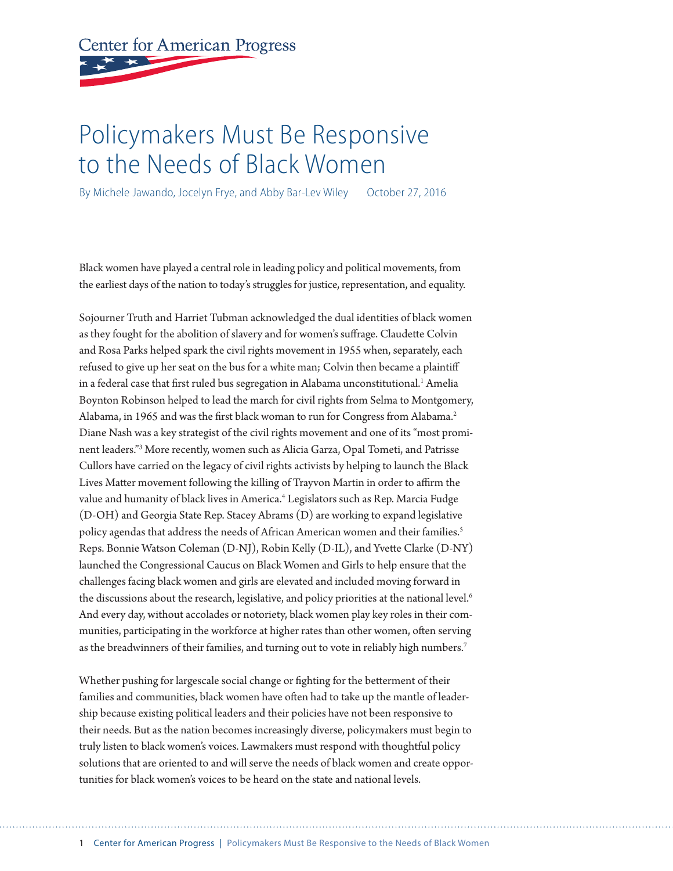# **Center for American Progress**

# Policymakers Must Be Responsive to the Needs of Black Women

By Michele Jawando, Jocelyn Frye, and Abby Bar-Lev Wiley October 27, 2016

Black women have played a central role in leading policy and political movements, from the earliest days of the nation to today's struggles for justice, representation, and equality.

Sojourner Truth and Harriet Tubman acknowledged the dual identities of black women as they fought for the abolition of slavery and for women's suffrage. Claudette Colvin and Rosa Parks helped spark the civil rights movement in 1955 when, separately, each refused to give up her seat on the bus for a white man; Colvin then became a plaintiff in a federal case that first ruled bus segregation in Alabama unconstitutional.<sup>1</sup> Amelia Boynton Robinson helped to lead the march for civil rights from Selma to Montgomery, Alabama, in 1965 and was the first black woman to run for Congress from Alabama.<sup>2</sup> Diane Nash was a key strategist of the civil rights movement and one of its "most prominent leaders."3 More recently, women such as Alicia Garza, Opal Tometi, and Patrisse Cullors have carried on the legacy of civil rights activists by helping to launch the Black Lives Matter movement following the killing of Trayvon Martin in order to affirm the value and humanity of black lives in America.<sup>4</sup> Legislators such as Rep. Marcia Fudge (D-OH) and Georgia State Rep. Stacey Abrams (D) are working to expand legislative policy agendas that address the needs of African American women and their families.<sup>5</sup> Reps. Bonnie Watson Coleman (D-NJ), Robin Kelly (D-IL), and Yvette Clarke (D-NY) launched the Congressional Caucus on Black Women and Girls to help ensure that the challenges facing black women and girls are elevated and included moving forward in the discussions about the research, legislative, and policy priorities at the national level.<sup>6</sup> And every day, without accolades or notoriety, black women play key roles in their communities, participating in the workforce at higher rates than other women, often serving as the breadwinners of their families, and turning out to vote in reliably high numbers.<sup>7</sup>

Whether pushing for largescale social change or fighting for the betterment of their families and communities, black women have often had to take up the mantle of leadership because existing political leaders and their policies have not been responsive to their needs. But as the nation becomes increasingly diverse, policymakers must begin to truly listen to black women's voices. Lawmakers must respond with thoughtful policy solutions that are oriented to and will serve the needs of black women and create opportunities for black women's voices to be heard on the state and national levels.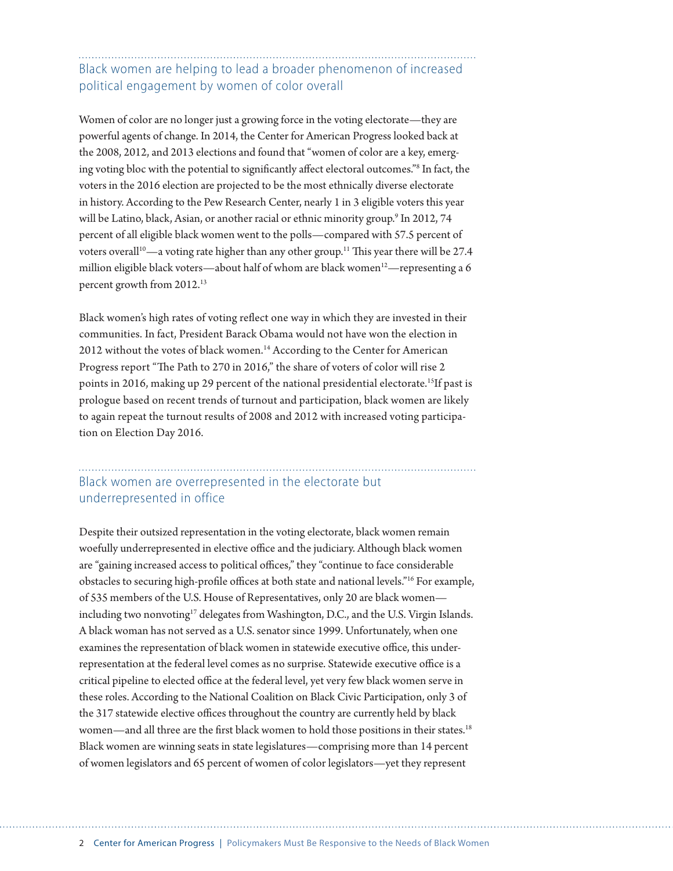### Black women are helping to lead a broader phenomenon of increased political engagement by women of color overall

Women of color are no longer just a growing force in the voting electorate—they are powerful agents of change. In 2014, the Center for American Progress looked back at the 2008, 2012, and 2013 elections and found that "women of color are a key, emerging voting bloc with the potential to significantly affect electoral outcomes."8 In fact, the voters in the 2016 election are projected to be the most ethnically diverse electorate in history. According to the Pew Research Center, nearly 1 in 3 eligible voters this year will be Latino, black, Asian, or another racial or ethnic minority group.<sup>9</sup> In 2012, 74 percent of all eligible black women went to the polls—compared with 57.5 percent of voters overall<sup>10</sup>—a voting rate higher than any other group.<sup>11</sup> This year there will be 27.4 million eligible black voters—about half of whom are black women<sup>12</sup>—representing a 6 percent growth from 2012.13

Black women's high rates of voting reflect one way in which they are invested in their communities. In fact, President Barack Obama would not have won the election in 2012 without the votes of black women.<sup>14</sup> According to the Center for American Progress report "The Path to 270 in 2016," the share of voters of color will rise 2 points in 2016, making up 29 percent of the national presidential electorate.<sup>15</sup>If past is prologue based on recent trends of turnout and participation, black women are likely to again repeat the turnout results of 2008 and 2012 with increased voting participation on Election Day 2016.

#### Black women are overrepresented in the electorate but underrepresented in office

Despite their outsized representation in the voting electorate, black women remain woefully underrepresented in elective office and the judiciary. Although black women are "gaining increased access to political offices," they "continue to face considerable obstacles to securing high-profile offices at both state and national levels."16 For example, of 535 members of the U.S. House of Representatives, only 20 are black women including two nonvoting<sup>17</sup> delegates from Washington, D.C., and the U.S. Virgin Islands. A black woman has not served as a U.S. senator since 1999. Unfortunately, when one examines the representation of black women in statewide executive office, this underrepresentation at the federal level comes as no surprise. Statewide executive office is a critical pipeline to elected office at the federal level, yet very few black women serve in these roles. According to the National Coalition on Black Civic Participation, only 3 of the 317 statewide elective offices throughout the country are currently held by black women—and all three are the first black women to hold those positions in their states.<sup>18</sup> Black women are winning seats in state legislatures—comprising more than 14 percent of women legislators and 65 percent of women of color legislators—yet they represent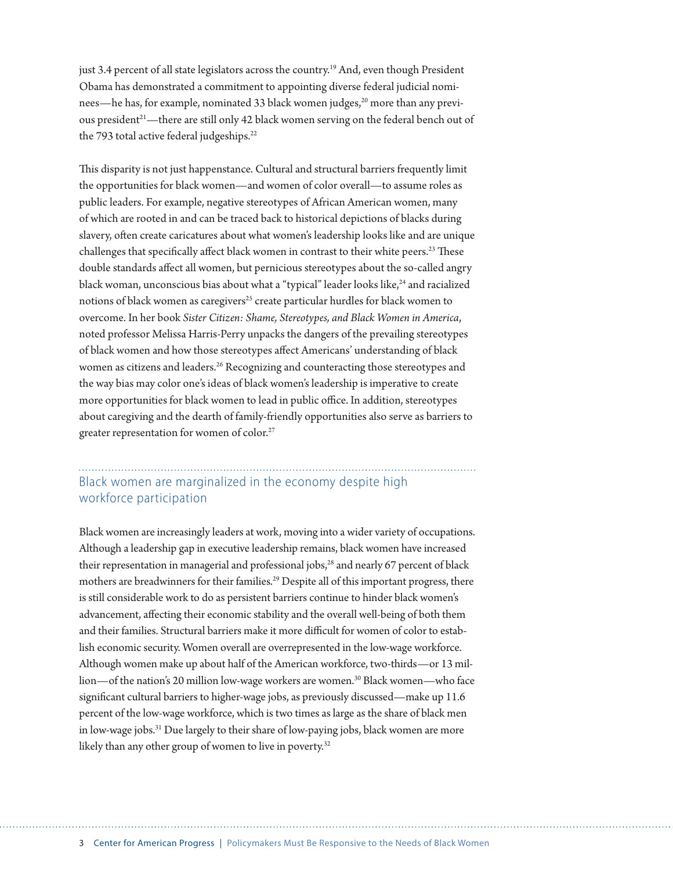just 3.4 percent of all state legislators across the country.19 And, even though President Obama has demonstrated a commitment to appointing diverse federal judicial nominees—he has, for example, nominated 33 black women judges,<sup>20</sup> more than any previous president<sup>21</sup>—there are still only 42 black women serving on the federal bench out of the 793 total active federal judgeships.<sup>22</sup>

This disparity is not just happenstance. Cultural and structural barriers frequently limit the opportunities for black women—and women of color overall—to assume roles as public leaders. For example, negative stereotypes of African American women, many of which are rooted in and can be traced back to historical depictions of blacks during slavery, often create caricatures about what women's leadership looks like and are unique challenges that specifically affect black women in contrast to their white peers.<sup>23</sup> These double standards affect all women, but pernicious stereotypes about the so-called angry black woman, unconscious bias about what a "typical" leader looks like,<sup>24</sup> and racialized notions of black women as caregivers<sup>25</sup> create particular hurdles for black women to overcome. In her book *Sister Citizen: Shame, Stereotypes, and Black Women in America*, noted professor Melissa Harris-Perry unpacks the dangers of the prevailing stereotypes of black women and how those stereotypes affect Americans' understanding of black women as citizens and leaders.<sup>26</sup> Recognizing and counteracting those stereotypes and the way bias may color one's ideas of black women's leadership is imperative to create more opportunities for black women to lead in public office. In addition, stereotypes about caregiving and the dearth of family-friendly opportunities also serve as barriers to greater representation for women of color.<sup>27</sup>

#### Black women are marginalized in the economy despite high workforce participation

Black women are increasingly leaders at work, moving into a wider variety of occupations. Although a leadership gap in executive leadership remains, black women have increased their representation in managerial and professional jobs,<sup>28</sup> and nearly 67 percent of black mothers are breadwinners for their families.<sup>29</sup> Despite all of this important progress, there is still considerable work to do as persistent barriers continue to hinder black women's advancement, affecting their economic stability and the overall well-being of both them and their families. Structural barriers make it more difficult for women of color to establish economic security. Women overall are overrepresented in the low-wage workforce. Although women make up about half of the American workforce, two-thirds—or 13 million—of the nation's 20 million low-wage workers are women.<sup>30</sup> Black women—who face significant cultural barriers to higher-wage jobs, as previously discussed—make up 11.6 percent of the low-wage workforce, which is two times as large as the share of black men in low-wage jobs.<sup>31</sup> Due largely to their share of low-paying jobs, black women are more likely than any other group of women to live in poverty.<sup>32</sup>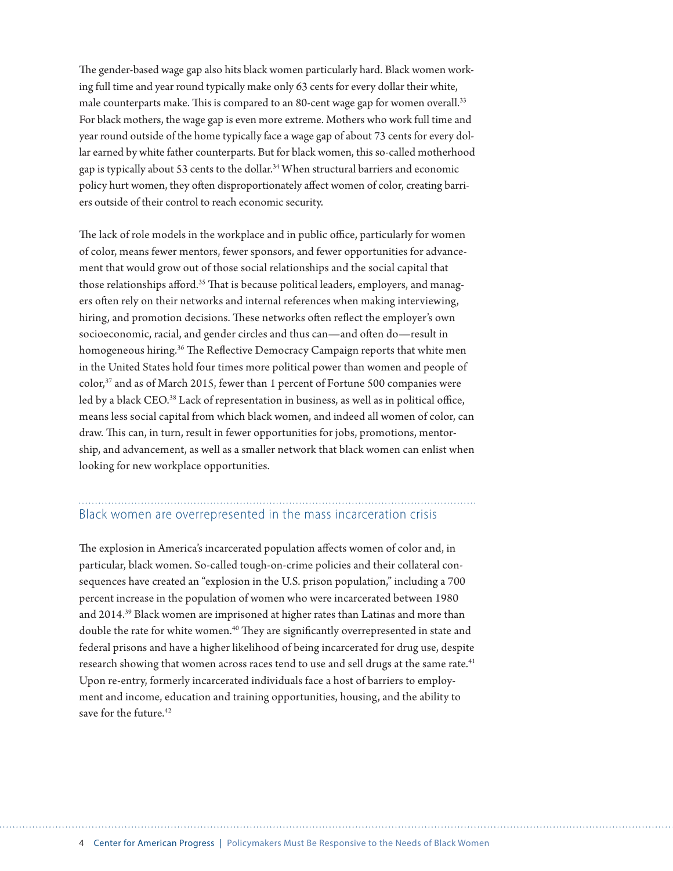The gender-based wage gap also hits black women particularly hard. Black women working full time and year round typically make only 63 cents for every dollar their white, male counterparts make. This is compared to an 80-cent wage gap for women overall.<sup>33</sup> For black mothers, the wage gap is even more extreme. Mothers who work full time and year round outside of the home typically face a wage gap of about 73 cents for every dollar earned by white father counterparts. But for black women, this so-called motherhood gap is typically about 53 cents to the dollar.<sup>34</sup> When structural barriers and economic policy hurt women, they often disproportionately affect women of color, creating barriers outside of their control to reach economic security.

The lack of role models in the workplace and in public office, particularly for women of color, means fewer mentors, fewer sponsors, and fewer opportunities for advancement that would grow out of those social relationships and the social capital that those relationships afford.<sup>35</sup> That is because political leaders, employers, and managers often rely on their networks and internal references when making interviewing, hiring, and promotion decisions. These networks often reflect the employer's own socioeconomic, racial, and gender circles and thus can—and often do—result in homogeneous hiring.<sup>36</sup> The Reflective Democracy Campaign reports that white men in the United States hold four times more political power than women and people of color,37 and as of March 2015, fewer than 1 percent of Fortune 500 companies were led by a black CEO.<sup>38</sup> Lack of representation in business, as well as in political office, means less social capital from which black women, and indeed all women of color, can draw. This can, in turn, result in fewer opportunities for jobs, promotions, mentorship, and advancement, as well as a smaller network that black women can enlist when looking for new workplace opportunities.

# Black women are overrepresented in the mass incarceration crisis

The explosion in America's incarcerated population affects women of color and, in particular, black women. So-called tough-on-crime policies and their collateral consequences have created an "explosion in the U.S. prison population," including a 700 percent increase in the population of women who were incarcerated between 1980 and 2014.39 Black women are imprisoned at higher rates than Latinas and more than double the rate for white women.<sup>40</sup> They are significantly overrepresented in state and federal prisons and have a higher likelihood of being incarcerated for drug use, despite research showing that women across races tend to use and sell drugs at the same rate.<sup>41</sup> Upon re-entry, formerly incarcerated individuals face a host of barriers to employment and income, education and training opportunities, housing, and the ability to save for the future  $42$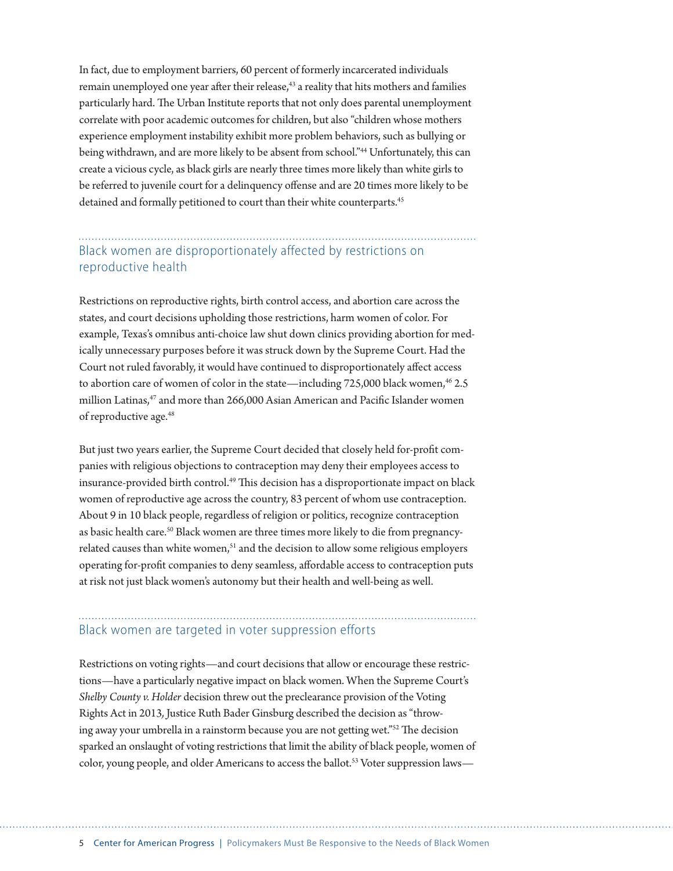In fact, due to employment barriers, 60 percent of formerly incarcerated individuals remain unemployed one year after their release,<sup>43</sup> a reality that hits mothers and families particularly hard. The Urban Institute reports that not only does parental unemployment correlate with poor academic outcomes for children, but also "children whose mothers experience employment instability exhibit more problem behaviors, such as bullying or being withdrawn, and are more likely to be absent from school."<sup>44</sup> Unfortunately, this can create a vicious cycle, as black girls are nearly three times more likely than white girls to be referred to juvenile court for a delinquency offense and are 20 times more likely to be detained and formally petitioned to court than their white counterparts.<sup>45</sup>

Black women are disproportionately affected by restrictions on reproductive health

Restrictions on reproductive rights, birth control access, and abortion care across the states, and court decisions upholding those restrictions, harm women of color. For example, Texas's omnibus anti-choice law shut down clinics providing abortion for medically unnecessary purposes before it was struck down by the Supreme Court. Had the Court not ruled favorably, it would have continued to disproportionately affect access to abortion care of women of color in the state—including 725,000 black women,<sup>46</sup> 2.5 million Latinas,<sup>47</sup> and more than 266,000 Asian American and Pacific Islander women of reproductive age.<sup>48</sup>

But just two years earlier, the Supreme Court decided that closely held for-profit companies with religious objections to contraception may deny their employees access to insurance-provided birth control.<sup>49</sup> This decision has a disproportionate impact on black women of reproductive age across the country, 83 percent of whom use contraception. About 9 in 10 black people, regardless of religion or politics, recognize contraception as basic health care.50 Black women are three times more likely to die from pregnancyrelated causes than white women,<sup>51</sup> and the decision to allow some religious employers operating for-profit companies to deny seamless, affordable access to contraception puts at risk not just black women's autonomy but their health and well-being as well.

# Black women are targeted in voter suppression efforts

Restrictions on voting rights—and court decisions that allow or encourage these restrictions—have a particularly negative impact on black women. When the Supreme Court's *Shelby County v. Holder* decision threw out the preclearance provision of the Voting Rights Act in 2013*,* Justice Ruth Bader Ginsburg described the decision as "throwing away your umbrella in a rainstorm because you are not getting wet."52 The decision sparked an onslaught of voting restrictions that limit the ability of black people, women of color, young people, and older Americans to access the ballot.<sup>53</sup> Voter suppression laws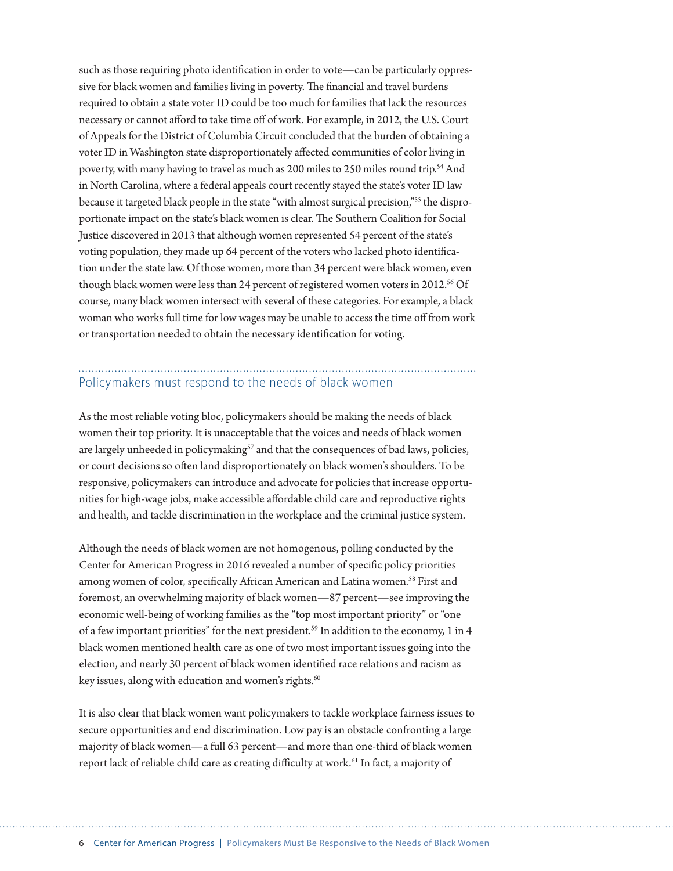such as those requiring photo identification in order to vote—can be particularly oppressive for black women and families living in poverty. The financial and travel burdens required to obtain a state voter ID could be too much for families that lack the resources necessary or cannot afford to take time off of work. For example, in 2012, the U.S. Court of Appeals for the District of Columbia Circuit concluded that the burden of obtaining a voter ID in Washington state disproportionately affected communities of color living in poverty, with many having to travel as much as 200 miles to 250 miles round trip.<sup>54</sup> And in North Carolina, where a federal appeals court recently stayed the state's voter ID law because it targeted black people in the state "with almost surgical precision,"55 the disproportionate impact on the state's black women is clear. The Southern Coalition for Social Justice discovered in 2013 that although women represented 54 percent of the state's voting population, they made up 64 percent of the voters who lacked photo identification under the state law. Of those women, more than 34 percent were black women, even though black women were less than 24 percent of registered women voters in 2012.<sup>56</sup> Of course, many black women intersect with several of these categories. For example, a black woman who works full time for low wages may be unable to access the time off from work or transportation needed to obtain the necessary identification for voting.

### Policymakers must respond to the needs of black women

As the most reliable voting bloc, policymakers should be making the needs of black women their top priority. It is unacceptable that the voices and needs of black women are largely unheeded in policymaking<sup>57</sup> and that the consequences of bad laws, policies, or court decisions so often land disproportionately on black women's shoulders. To be responsive, policymakers can introduce and advocate for policies that increase opportunities for high-wage jobs, make accessible affordable child care and reproductive rights and health, and tackle discrimination in the workplace and the criminal justice system.

Although the needs of black women are not homogenous, polling conducted by the Center for American Progress in 2016 revealed a number of specific policy priorities among women of color, specifically African American and Latina women.<sup>58</sup> First and foremost, an overwhelming majority of black women—87 percent—see improving the economic well-being of working families as the "top most important priority" or "one of a few important priorities" for the next president.<sup>59</sup> In addition to the economy, 1 in 4 black women mentioned health care as one of two most important issues going into the election, and nearly 30 percent of black women identified race relations and racism as key issues, along with education and women's rights.<sup>60</sup>

It is also clear that black women want policymakers to tackle workplace fairness issues to secure opportunities and end discrimination. Low pay is an obstacle confronting a large majority of black women—a full 63 percent—and more than one-third of black women report lack of reliable child care as creating difficulty at work.<sup>61</sup> In fact, a majority of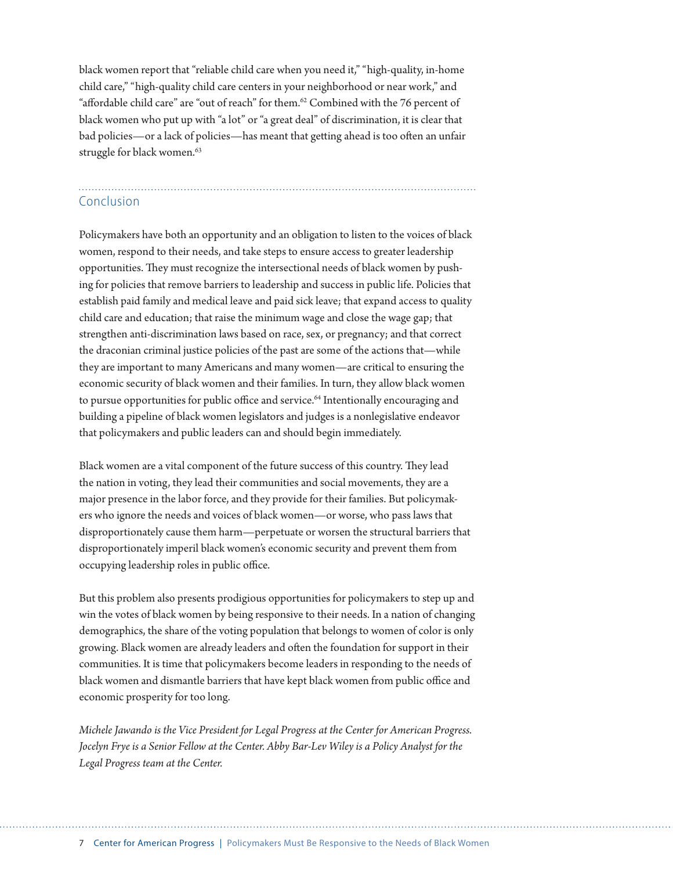black women report that "reliable child care when you need it," "high-quality, in-home child care," "high-quality child care centers in your neighborhood or near work," and "affordable child care" are "out of reach" for them.<sup>62</sup> Combined with the 76 percent of black women who put up with "a lot" or "a great deal" of discrimination, it is clear that bad policies—or a lack of policies—has meant that getting ahead is too often an unfair struggle for black women.<sup>63</sup>

# Conclusion

Policymakers have both an opportunity and an obligation to listen to the voices of black women, respond to their needs, and take steps to ensure access to greater leadership opportunities. They must recognize the intersectional needs of black women by pushing for policies that remove barriers to leadership and success in public life. Policies that establish paid family and medical leave and paid sick leave; that expand access to quality child care and education; that raise the minimum wage and close the wage gap; that strengthen anti-discrimination laws based on race, sex, or pregnancy; and that correct the draconian criminal justice policies of the past are some of the actions that—while they are important to many Americans and many women—are critical to ensuring the economic security of black women and their families. In turn, they allow black women to pursue opportunities for public office and service.<sup>64</sup> Intentionally encouraging and building a pipeline of black women legislators and judges is a nonlegislative endeavor that policymakers and public leaders can and should begin immediately.

Black women are a vital component of the future success of this country. They lead the nation in voting, they lead their communities and social movements, they are a major presence in the labor force, and they provide for their families. But policymakers who ignore the needs and voices of black women—or worse, who pass laws that disproportionately cause them harm—perpetuate or worsen the structural barriers that disproportionately imperil black women's economic security and prevent them from occupying leadership roles in public office.

But this problem also presents prodigious opportunities for policymakers to step up and win the votes of black women by being responsive to their needs. In a nation of changing demographics, the share of the voting population that belongs to women of color is only growing. Black women are already leaders and often the foundation for support in their communities. It is time that policymakers become leaders in responding to the needs of black women and dismantle barriers that have kept black women from public office and economic prosperity for too long.

*Michele Jawando is the Vice President for Legal Progress at the Center for American Progress. Jocelyn Frye is a Senior Fellow at the Center. Abby Bar-Lev Wiley is a Policy Analyst for the Legal Progress team at the Center.*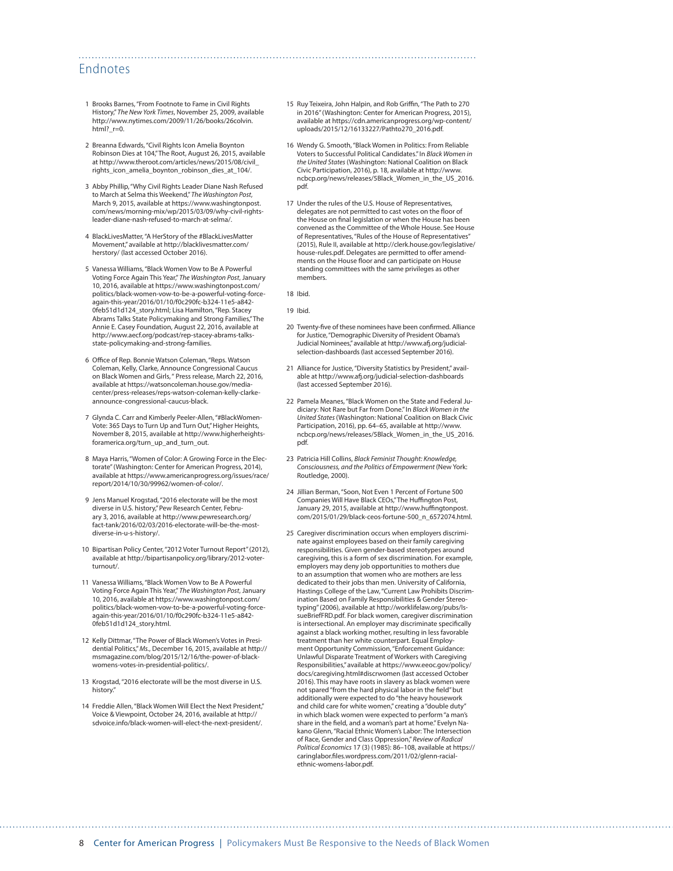#### Endnotes

- 1 Brooks Barnes, "From Footnote to Fame in Civil Rights History," *The New York Times*, November 25, 2009, available [http://www.nytimes.com/2009/11/26/books/26colvin.](http://www.nytimes.com/2009/11/26/books/26colvin.html?_r=0) html? $r=0$ .
- 2 Breanna Edwards, "Civil Rights Icon Amelia Boynton Robinson Dies at 104," The Root, August 26, 2015, available at [http://www.theroot.com/articles/news/2015/08/civil\\_](http://www.theroot.com/articles/news/2015/08/civil_rights_icon_amelia_boynton_robinson_dies_at_104/) [rights\\_icon\\_amelia\\_boynton\\_robinson\\_dies\\_at\\_104/.](http://www.theroot.com/articles/news/2015/08/civil_rights_icon_amelia_boynton_robinson_dies_at_104/)
- 3 Abby Phillip, "Why Civil Rights Leader Diane Nash Refused to March at Selma this Weekend," *The Washington Post*, March 9, 2015, available at [https://www.washingtonpost.](https://www.washingtonpost.com/news/morning-mix/wp/2015/03/09/why-civil-rights-leader-diane-nash-refused-to-march-at-selma/) [com/news/morning-mix/wp/2015/03/09/why-civil-rights](https://www.washingtonpost.com/news/morning-mix/wp/2015/03/09/why-civil-rights-leader-diane-nash-refused-to-march-at-selma/)[leader-diane-nash-refused-to-march-at-selma/.](https://www.washingtonpost.com/news/morning-mix/wp/2015/03/09/why-civil-rights-leader-diane-nash-refused-to-march-at-selma/)
- 4 BlackLivesMatter, "A HerStory of the #BlackLivesMatter Movement," available at [http://blacklivesmatter.com/](http://blacklivesmatter.com/herstory/) [herstory/](http://blacklivesmatter.com/herstory/) (last accessed October 2016).
- 5 Vanessa Williams, "Black Women Vow to Be A Powerful Voting Force Again This Year," *The Washington Post*, January 10, 2016, available at [https://www.washingtonpost.com/](https://www.washingtonpost.com/politics/black-women-vow-to-be-a-powerful-voting-force-again-this-year/2016/01/10/f0c290fc-b324-11e5-a842-0feb51d1d124_story.html) [politics/black-women-vow-to-be-a-powerful-voting-force](https://www.washingtonpost.com/politics/black-women-vow-to-be-a-powerful-voting-force-again-this-year/2016/01/10/f0c290fc-b324-11e5-a842-0feb51d1d124_story.html)[again-this-year/2016/01/10/f0c290fc-b324-11e5-a842-](https://www.washingtonpost.com/politics/black-women-vow-to-be-a-powerful-voting-force-again-this-year/2016/01/10/f0c290fc-b324-11e5-a842-0feb51d1d124_story.html) [0feb51d1d124\\_story.html](https://www.washingtonpost.com/politics/black-women-vow-to-be-a-powerful-voting-force-again-this-year/2016/01/10/f0c290fc-b324-11e5-a842-0feb51d1d124_story.html); Lisa Hamilton, "Rep. Stacey Abrams Talks State Policymaking and Strong Families," The Annie E. Casey Foundation, August 22, 2016, available at [http://www.aecf.org/podcast/rep-stacey-abrams-talks](http://www.aecf.org/podcast/rep-stacey-abrams-talks-state-policymaking-and-strong-families)[state-policymaking-and-strong-families](http://www.aecf.org/podcast/rep-stacey-abrams-talks-state-policymaking-and-strong-families).
- 6 Office of Rep. Bonnie Watson Coleman, "Reps. Watson Coleman, Kelly, Clarke, Announce Congressional Caucus on Black Women and Girls, " Press release, March 22, 2016, available at [https://watsoncoleman.house.gov/media](https://watsoncoleman.house.gov/media-center/press-releases/reps-watson-coleman-kelly-clarke-announce-congressional-caucus-black)[center/press-releases/reps-watson-coleman-kelly-clarke](https://watsoncoleman.house.gov/media-center/press-releases/reps-watson-coleman-kelly-clarke-announce-congressional-caucus-black)[announce-congressional-caucus-black](https://watsoncoleman.house.gov/media-center/press-releases/reps-watson-coleman-kelly-clarke-announce-congressional-caucus-black).
- 7 Glynda C. Carr and Kimberly Peeler-Allen, "#BlackWomen-Vote: 365 Days to Turn Up and Turn Out," Higher Heights, November 8, 2015, available at [http://www.higherheights](http://www.higherheightsforamerica.org/turn_up_and_turn_out)[foramerica.org/turn\\_up\\_and\\_turn\\_out.](http://www.higherheightsforamerica.org/turn_up_and_turn_out)
- 8 Maya Harris, "Women of Color: A Growing Force in the Electorate" (Washington: Center for American Progress, 2014), available at [https://www.americanprogress.org/issues/race/](https://www.americanprogress.org/issues/race/report/2014/10/30/99962/women-of-color/) [report/2014/10/30/99962/women-of-color/.](https://www.americanprogress.org/issues/race/report/2014/10/30/99962/women-of-color/)
- 9 Jens Manuel Krogstad, "2016 electorate will be the most diverse in U.S. history," Pew Research Center, February 3, 2016, available at [http://www.pewresearch.org/](http://www.pewresearch.org/fact-tank/2016/02/03/2016-electorate-will-be-the-most-diverse-in-u-s-history/) [fact-tank/2016/02/03/2016-electorate-will-be-the-most](http://www.pewresearch.org/fact-tank/2016/02/03/2016-electorate-will-be-the-most-diverse-in-u-s-history/)[diverse-in-u-s-history/.](http://www.pewresearch.org/fact-tank/2016/02/03/2016-electorate-will-be-the-most-diverse-in-u-s-history/)
- 10 Bipartisan Policy Center, "2012 Voter Turnout Report" (2012), available at [http://bipartisanpolicy.org/library/2012-voter](http://bipartisanpolicy.org/library/2012-voter-turnout/)[turnout/](http://bipartisanpolicy.org/library/2012-voter-turnout/).
- 11 Vanessa Williams, "Black Women Vow to Be A Powerful Voting Force Again This Year," *The Washington Post*, January 10, 2016, available at [https://www.washingtonpost.com/](https://www.washingtonpost.com/politics/black-women-vow-to-be-a-powerful-voting-force-again-this-year/2016/01/10/f0c290fc-b324-11e5-a842-0feb51d1d124_story.html) [politics/black-women-vow-to-be-a-powerful-voting-force](https://www.washingtonpost.com/politics/black-women-vow-to-be-a-powerful-voting-force-again-this-year/2016/01/10/f0c290fc-b324-11e5-a842-0feb51d1d124_story.html)[again-this-year/2016/01/10/f0c290fc-b324-11e5-a842-](https://www.washingtonpost.com/politics/black-women-vow-to-be-a-powerful-voting-force-again-this-year/2016/01/10/f0c290fc-b324-11e5-a842-0feb51d1d124_story.html) [0feb51d1d124\\_story.html](https://www.washingtonpost.com/politics/black-women-vow-to-be-a-powerful-voting-force-again-this-year/2016/01/10/f0c290fc-b324-11e5-a842-0feb51d1d124_story.html).
- 12 Kelly Dittmar, "The Power of Black Women's Votes in Presidential Politics," *Ms.*, December 16, 2015, available at [http://](http://msmagazine.com/blog/2015/12/16/the-power-of-black-womens-votes-in-presidential-politics/) [msmagazine.com/blog/2015/12/16/the-power-of-black](http://msmagazine.com/blog/2015/12/16/the-power-of-black-womens-votes-in-presidential-politics/)[womens-votes-in-presidential-politics/](http://msmagazine.com/blog/2015/12/16/the-power-of-black-womens-votes-in-presidential-politics/).
- 13 Krogstad, "2016 electorate will be the most diverse in U.S. history."
- 14 Freddie Allen, "Black Women Will Elect the Next President," Voice & Viewpoint, October 24, 2016, available at [http://](http://sdvoice.info/black-women-will-elect-the-next-president/) [sdvoice.info/black-women-will-elect-the-next-president/](http://sdvoice.info/black-women-will-elect-the-next-president/).
- 15 Ruy Teixeira, John Halpin, and Rob Griffin, "The Path to 270 in 2016" (Washington: Center for American Progress, 2015), available at [https://cdn.americanprogress.org/wp-content/](https://cdn.americanprogress.org/wp-content/uploads/2015/12/16133227/Pathto270_2016.pdf) [uploads/2015/12/16133227/Pathto270\\_2016.pdf](https://cdn.americanprogress.org/wp-content/uploads/2015/12/16133227/Pathto270_2016.pdf).
- 16 Wendy G. Smooth, "Black Women in Politics: From Reliable Voters to Successful Political Candidates." In *Black Women in the United States* (Washington: National Coalition on Black Civic Participation, 2016), p. 18, available at [http://www.](http://www.ncbcp.org/news/releases/5Black_Women_in_the_US_2016.pdf) [ncbcp.org/news/releases/5Black\\_Women\\_in\\_the\\_US\\_2016.](http://www.ncbcp.org/news/releases/5Black_Women_in_the_US_2016.pdf) [pdf](http://www.ncbcp.org/news/releases/5Black_Women_in_the_US_2016.pdf).
- 17 Under the rules of the U.S. House of Representatives, delegates are not permitted to cast votes on the floor of the House on final legislation or when the House has been convened as the Committee of the Whole House. See House of Representatives, "Rules of the House of Representatives" (2015), Rule II, available at [http://clerk.house.gov/legislative/](http://clerk.house.gov/legislative/house-rules.pdf) [house-rules.pdf](http://clerk.house.gov/legislative/house-rules.pdf). Delegates are permitted to offer amendments on the House floor and can participate on House standing committees with the same privileges as other members.

18 Ibid.

19 Ibid.

- 20 Twenty-five of these nominees have been confirmed. Alliance for Justice, "Demographic Diversity of President Obama's Judicial Nominees," available at [http://www.afj.org/judicial](http://www.afj.org/judicial-selection-dashboards)[selection-dashboards](http://www.afj.org/judicial-selection-dashboards) (last accessed September 2016).
- 21 Alliance for Justice, "Diversity Statistics by President," available at <http://www.afj.org/judicial-selection-dashboards> (last accessed September 2016).
- 22 Pamela Meanes, "Black Women on the State and Federal Judiciary: Not Rare but Far from Done." In *Black Women in the United States* (Washington: National Coalition on Black Civic Participation, 2016), pp. 64–65, available at [http://www.](http://www.ncbcp.org/news/releases/5Black_Women_in_the_US_2016.pdf) [ncbcp.org/news/releases/5Black\\_Women\\_in\\_the\\_US\\_2016.](http://www.ncbcp.org/news/releases/5Black_Women_in_the_US_2016.pdf) [pdf](http://www.ncbcp.org/news/releases/5Black_Women_in_the_US_2016.pdf).
- 23 Patricia Hill Collins, *Black Feminist Thought: Knowledge, Consciousness, and the Politics of Empowerment* (New York: Routledge, 2000).
- 24 Jillian Berman, "Soon, Not Even 1 Percent of Fortune 500 Companies Will Have Black CEOs," The Huffington Post, January 29, 2015, available at [http://www.huffingtonpost.](http://www.huffingtonpost.com/2015/01/29/black-ceos-fortune-500_n_6572074.html) [com/2015/01/29/black-ceos-fortune-500\\_n\\_6572074.html](http://www.huffingtonpost.com/2015/01/29/black-ceos-fortune-500_n_6572074.html).
- 25 Caregiver discrimination occurs when employers discriminate against employees based on their family caregiving responsibilities. Given gender-based stereotypes around caregiving, this is a form of sex discrimination. For example, employers may deny job opportunities to mothers due to an assumption that women who are mothers are less dedicated to their jobs than men. University of California, Hastings College of the Law, "Current Law Prohibits Discrimination Based on Family Responsibilities & Gender Stereotyping" (2006), available at [http://worklifelaw.org/pubs/Is](http://worklifelaw.org/pubs/IssueBriefFRD.pdf)[sueBriefFRD.pdf](http://worklifelaw.org/pubs/IssueBriefFRD.pdf). For black women, caregiver discrimination is intersectional. An employer may discriminate specifically against a black working mother, resulting in less favorable treatment than her white counterpart. Equal Employment Opportunity Commission, "Enforcement Guidance: Unlawful Disparate Treatment of Workers with Caregiving Responsibilities," available at https://www.eeoc.gov/policy/ docs/caregiving.html#discrwomen (last accessed October 2016). This may have roots in slavery as black women were not spared "from the hard physical labor in the field" but additionally were expected to do "the heavy housework and child care for white women," creating a "double duty" in which black women were expected to perform "a man's share in the field, and a woman's part at home." Evelyn Nakano Glenn, "Racial Ethnic Women's Labor: The Intersection of Race, Gender and Class Oppression," *Review of Radical Political Economics* 17 (3) (1985): 86–108, available at [https://](https://caringlabor.files.wordpress.com/2011/02/glenn-racial-ethnic-womens-labor.pdf) [caringlabor.files.wordpress.com/2011/02/glenn-racial](https://caringlabor.files.wordpress.com/2011/02/glenn-racial-ethnic-womens-labor.pdf)[ethnic-womens-labor.pdf.](https://caringlabor.files.wordpress.com/2011/02/glenn-racial-ethnic-womens-labor.pdf)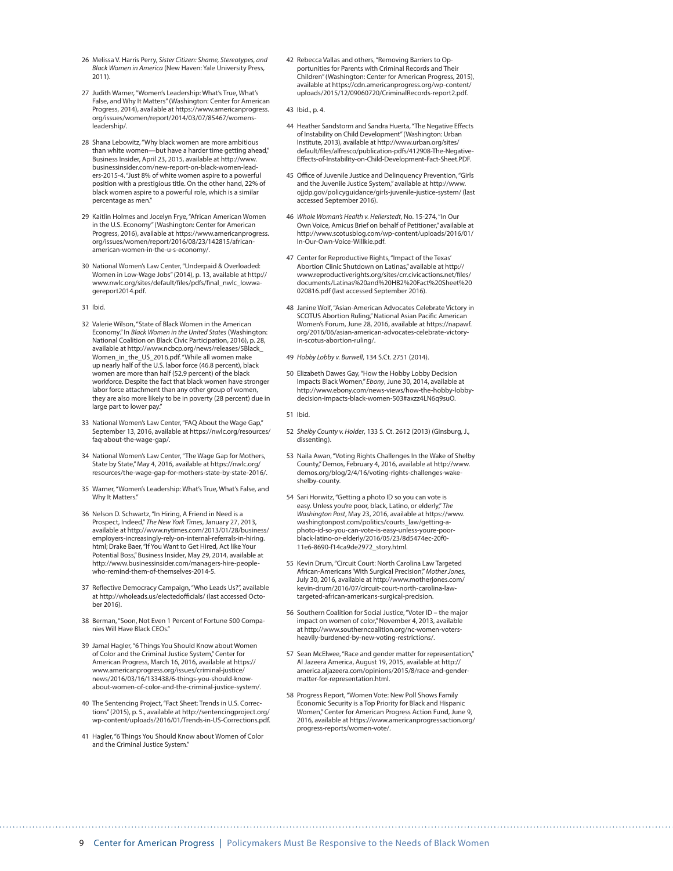- 26 Melissa V. Harris Perry, *Sister Citizen: Shame, Stereotypes, and Black Women in America* (New Haven: Yale University Press, 2011).
- 27 Judith Warner, "Women's Leadership: What's True, What's False, and Why It Matters" (Washington: Center for American Progress, 2014), available at [https://www.americanprogress.](https://www.americanprogress.org/issues/women/report/2014/03/07/85467/womens-leadership/) [org/issues/women/report/2014/03/07/85467/womens](https://www.americanprogress.org/issues/women/report/2014/03/07/85467/womens-leadership/)[leadership/.](https://www.americanprogress.org/issues/women/report/2014/03/07/85467/womens-leadership/)
- 28 Shana Lebowitz, "Why black women are more ambitious than white women—but have a harder time getting ahead," Business Insider, April 23, 2015, available at [http://www.](http://www.businessinsider.com/new-report-on-black-women-leaders-2015-4) [businessinsider.com/new-report-on-black-women-lead](http://www.businessinsider.com/new-report-on-black-women-leaders-2015-4)[ers-2015-4.](http://www.businessinsider.com/new-report-on-black-women-leaders-2015-4) "Just 8% of white women aspire to a powerful position with a prestigious title. On the other hand, 22% of black women aspire to a powerful role, which is a similar percentage as men."
- 29 Kaitlin Holmes and Jocelyn Frye, "African American Women in the U.S. Economy" (Washington: Center for American Progress, 2016), available at [https://www.americanprogress.](https://www.americanprogress.org/issues/women/report/2016/08/23/142815/african-american-women-in-the-u-s-economy/) [org/issues/women/report/2016/08/23/142815/african](https://www.americanprogress.org/issues/women/report/2016/08/23/142815/african-american-women-in-the-u-s-economy/)[american-women-in-the-u-s-economy/.](https://www.americanprogress.org/issues/women/report/2016/08/23/142815/african-american-women-in-the-u-s-economy/)
- 30 National Women's Law Center, "Underpaid & Overloaded: Women in Low-Wage Jobs" (2014), p. 13, available at [http://](http://www.nwlc.org/sites/default/files/pdfs/final_nwlc_lowwagereport2014.pdf) [www.nwlc.org/sites/default/files/pdfs/final\\_nwlc\\_lowwa](http://www.nwlc.org/sites/default/files/pdfs/final_nwlc_lowwagereport2014.pdf)[gereport2014.pdf.](http://www.nwlc.org/sites/default/files/pdfs/final_nwlc_lowwagereport2014.pdf)
- 31 Ibid.
- 32 Valerie Wilson, "State of Black Women in the American Economy." In *Black Women in the United States* (Washington: National Coalition on Black Civic Participation, 2016), p. 28, available at [http://www.ncbcp.org/news/releases/5Black\\_](http://www.ncbcp.org/news/releases/5Black_Women_in_the_US_2016.pdf) [Women\\_in\\_the\\_US\\_2016.pdf](http://www.ncbcp.org/news/releases/5Black_Women_in_the_US_2016.pdf). "While all women make up nearly half of the U.S. labor force (46.8 percent), black women are more than half (52.9 percent) of the black workforce. Despite the fact that black women have stronger labor force attachment than any other group of women, they are also more likely to be in poverty (28 percent) due in large part to lower pay.
- 33 National Women's Law Center, "FAQ About the Wage Gap," September 13, 2016, available at [https://nwlc.org/resources/](https://nwlc.org/resources/faq-about-the-wage-gap/) [faq-about-the-wage-gap/.](https://nwlc.org/resources/faq-about-the-wage-gap/)
- 34 National Women's Law Center, "The Wage Gap for Mothers, State by State," May 4, 2016, available at [https://nwlc.org/](https://nwlc.org/resources/the-wage-gap-for-mothers-state-by-state-2016/) [resources/the-wage-gap-for-mothers-state-by-state-2016/.](https://nwlc.org/resources/the-wage-gap-for-mothers-state-by-state-2016/)
- 35 Warner, "Women's Leadership: What's True, What's False, and Why It Matters."
- 36 Nelson D. Schwartz, "In Hiring, A Friend in Need is a Prospect, Indeed," *The New York Times*, January 27, 2013, available at [http://www.nytimes.com/2013/01/28/business/](http://www.nytimes.com/2013/01/28/business/employers-increasingly-rely-on-internal-referrals-in-hiring.html) [employers-increasingly-rely-on-internal-referrals-in-hiring.](http://www.nytimes.com/2013/01/28/business/employers-increasingly-rely-on-internal-referrals-in-hiring.html) [html;](http://www.nytimes.com/2013/01/28/business/employers-increasingly-rely-on-internal-referrals-in-hiring.html) Drake Baer, "If You Want to Get Hired, Act like Your Potential Boss," Business Insider, May 29, 2014, available at [http://www.businessinsider.com/managers-hire-people](http://www.businessinsider.com/managers-hire-people-who-remind-them-of-themselves-2014-5)[who-remind-them-of-themselves-2014-5.](http://www.businessinsider.com/managers-hire-people-who-remind-them-of-themselves-2014-5)
- 37 Reflective Democracy Campaign, "Who Leads Us?", available at <http://wholeads.us/electedofficials/>(last accessed October 2016).
- 38 Berman, "Soon, Not Even 1 Percent of Fortune 500 Companies Will Have Black CEOs."
- 39 Jamal Hagler, "6 Things You Should Know about Women of Color and the Criminal Justice System," Center for American Progress, March 16, 2016, available at [https://](https://www.americanprogress.org/issues/criminal-justice/news/2016/03/16/133438/6-things-you-should-know-about-women-of-color-and-the-criminal-justice-system/) [www.americanprogress.org/issues/criminal-justice/](https://www.americanprogress.org/issues/criminal-justice/news/2016/03/16/133438/6-things-you-should-know-about-women-of-color-and-the-criminal-justice-system/) [news/2016/03/16/133438/6-things-you-should-know](https://www.americanprogress.org/issues/criminal-justice/news/2016/03/16/133438/6-things-you-should-know-about-women-of-color-and-the-criminal-justice-system/)[about-women-of-color-and-the-criminal-justice-system/](https://www.americanprogress.org/issues/criminal-justice/news/2016/03/16/133438/6-things-you-should-know-about-women-of-color-and-the-criminal-justice-system/).
- 40 The Sentencing Project, "Fact Sheet: Trends in U.S. Corrections" (2015), p. 5., available at [http://sentencingproject.org/](http://sentencingproject.org/wp-content/uploads/2016/01/Trends-in-US-Corrections.pdf) [wp-content/uploads/2016/01/Trends-in-US-Corrections.pdf.](http://sentencingproject.org/wp-content/uploads/2016/01/Trends-in-US-Corrections.pdf)
- 41 Hagler, "6 Things You Should Know about Women of Color and the Criminal Justice System."
- 42 Rebecca Vallas and others, "Removing Barriers to Opportunities for Parents with Criminal Records and Their Children" (Washington: Center for American Progress, 2015), available at [https://cdn.americanprogress.org/wp-content/](https://cdn.americanprogress.org/wp-content/uploads/2015/12/09060720/CriminalRecords-report2.pdf) [uploads/2015/12/09060720/CriminalRecords-report2.pdf.](https://cdn.americanprogress.org/wp-content/uploads/2015/12/09060720/CriminalRecords-report2.pdf)
- 43 Ibid., p. 4.
- 44 Heather Sandstorm and Sandra Huerta, "The Negative Effects of Instability on Child Development" (Washington: Urban Institute, 2013), available at [http://www.urban.org/sites/](http://www.urban.org/sites/default/files/alfresco/publication-pdfs/412908-The-Negative-Effects-of-Instability-on-Child-Development-Fact-Sheet.PDF) [default/files/alfresco/publication-pdfs/412908-The-Negative-](http://www.urban.org/sites/default/files/alfresco/publication-pdfs/412908-The-Negative-Effects-of-Instability-on-Child-Development-Fact-Sheet.PDF)[Effects-of-Instability-on-Child-Development-Fact-Sheet.PDF](http://www.urban.org/sites/default/files/alfresco/publication-pdfs/412908-The-Negative-Effects-of-Instability-on-Child-Development-Fact-Sheet.PDF).
- 45 Office of Juvenile Justice and Delinquency Prevention, "Girls and the Juvenile Justice System," available at [http://www.](http://www.ojjdp.gov/policyguidance/girls-juvenile-justice-system/) [ojjdp.gov/policyguidance/girls-juvenile-justice-system/](http://www.ojjdp.gov/policyguidance/girls-juvenile-justice-system/) (last accessed September 2016).
- 46 *Whole Woman's Health v. Hellerstedt*, No. 15-274, "In Our Own Voice, Amicus Brief on behalf of Petitioner," available at [http://www.scotusblog.com/wp-content/uploads/2016/01/](http://www.scotusblog.com/wp-content/uploads/2016/01/In-Our-Own-Voice-Willkie.pdf) [In-Our-Own-Voice-Willkie.pdf.](http://www.scotusblog.com/wp-content/uploads/2016/01/In-Our-Own-Voice-Willkie.pdf)
- 47 Center for Reproductive Rights, "Impact of the Texas' Abortion Clinic Shutdown on Latinas," available at [http://](http://www.reproductiverights.org/sites/crr.civicactions.net/files/documents/Latinas%20and%20HB2%20Fact%20Sheet%20020816.pdf) [www.reproductiverights.org/sites/crr.civicactions.net/files/](http://www.reproductiverights.org/sites/crr.civicactions.net/files/documents/Latinas%20and%20HB2%20Fact%20Sheet%20020816.pdf) [documents/Latinas%20and%20HB2%20Fact%20Sheet%20](http://www.reproductiverights.org/sites/crr.civicactions.net/files/documents/Latinas%20and%20HB2%20Fact%20Sheet%20020816.pdf) [020816.pdf](http://www.reproductiverights.org/sites/crr.civicactions.net/files/documents/Latinas%20and%20HB2%20Fact%20Sheet%20020816.pdf) (last accessed September 2016).
- 48 Janine Wolf, "Asian-American Advocates Celebrate Victory in SCOTUS Abortion Ruling," National Asian Pacific American Women's Forum, June 28, 2016, available at [https://napawf.](https://napawf.org/2016/06/asian-american-advocates-celebrate-victory-in-scotus-abortion-ruling/) [org/2016/06/asian-american-advocates-celebrate-victory](https://napawf.org/2016/06/asian-american-advocates-celebrate-victory-in-scotus-abortion-ruling/)[in-scotus-abortion-ruling/](https://napawf.org/2016/06/asian-american-advocates-celebrate-victory-in-scotus-abortion-ruling/).
- 49 *Hobby Lobby v. Burwell*, 134 S.Ct. 2751 (2014).
- 50 Elizabeth Dawes Gay, "How the Hobby Lobby Decision Impacts Black Women," *Ebony*, June 30, 2014, available at http://www.ebony.com/news-views/how-the-hobby-lobbydecision-impacts-black-women-503#axzz4LN6q9suO.
- 51 Ibid.
- 52 *Shelby County v. Holder*, 133 S. Ct. 2612 (2013) (Ginsburg, J., dissenting).
- 53 Naila Awan, "Voting Rights Challenges In the Wake of Shelby County," Demos, February 4, 2016, available at [http://www.](http://www.demos.org/blog/2/4/16/voting-rights-challenges-wake-shelby-county) [demos.org/blog/2/4/16/voting-rights-challenges-wake](http://www.demos.org/blog/2/4/16/voting-rights-challenges-wake-shelby-county)[shelby-county.](http://www.demos.org/blog/2/4/16/voting-rights-challenges-wake-shelby-county)
- 54 Sari Horwitz, "Getting a photo ID so you can vote is easy. Unless you're poor, black, Latino, or elderly," *The Washington Post*, May 23, 2016, available at [https://www.](https://www.washingtonpost.com/politics/courts_law/getting-a-photo-id-so-you-can-vote-is-easy-unless-youre-poor-black-latino-or-elderly/2016/05/23/8d5474ec-20f0-11e6-8690-f14ca9de2972_story.html) [washingtonpost.com/politics/courts\\_law/getting-a](https://www.washingtonpost.com/politics/courts_law/getting-a-photo-id-so-you-can-vote-is-easy-unless-youre-poor-black-latino-or-elderly/2016/05/23/8d5474ec-20f0-11e6-8690-f14ca9de2972_story.html)[photo-id-so-you-can-vote-is-easy-unless-youre-poor](https://www.washingtonpost.com/politics/courts_law/getting-a-photo-id-so-you-can-vote-is-easy-unless-youre-poor-black-latino-or-elderly/2016/05/23/8d5474ec-20f0-11e6-8690-f14ca9de2972_story.html)[black-latino-or-elderly/2016/05/23/8d5474ec-20f0-](https://www.washingtonpost.com/politics/courts_law/getting-a-photo-id-so-you-can-vote-is-easy-unless-youre-poor-black-latino-or-elderly/2016/05/23/8d5474ec-20f0-11e6-8690-f14ca9de2972_story.html) [11e6-8690-f14ca9de2972\\_story.html.](https://www.washingtonpost.com/politics/courts_law/getting-a-photo-id-so-you-can-vote-is-easy-unless-youre-poor-black-latino-or-elderly/2016/05/23/8d5474ec-20f0-11e6-8690-f14ca9de2972_story.html)
- 55 Kevin Drum, "Circuit Court: North Carolina Law Targeted African-Americans 'With Surgical Precision'," *Mother Jones*, July 30, 2016, available at [http://www.motherjones.com/](http://www.motherjones.com/kevin-drum/2016/07/circuit-court-north-carolina-law-targeted-african-americans-surgical-precision) [kevin-drum/2016/07/circuit-court-north-carolina-law](http://www.motherjones.com/kevin-drum/2016/07/circuit-court-north-carolina-law-targeted-african-americans-surgical-precision)[targeted-african-americans-surgical-precision](http://www.motherjones.com/kevin-drum/2016/07/circuit-court-north-carolina-law-targeted-african-americans-surgical-precision).
- 56 Southern Coalition for Social Justice, "Voter ID the major impact on women of color," November 4, 2013, available at [http://www.southerncoalition.org/nc-women-voters](http://www.southerncoalition.org/nc-women-voters-heavily-burdened-by-new-voting-restrictions/)[heavily-burdened-by-new-voting-restrictions/](http://www.southerncoalition.org/nc-women-voters-heavily-burdened-by-new-voting-restrictions/).
- 57 Sean McElwee, "Race and gender matter for representation," Al Jazeera America, August 19, 2015, available at [http://](http://america.aljazeera.com/opinions/2015/8/race-and-gender-matter-for-representation.html) [america.aljazeera.com/opinions/2015/8/race-and-gender](http://america.aljazeera.com/opinions/2015/8/race-and-gender-matter-for-representation.html)[matter-for-representation.html.](http://america.aljazeera.com/opinions/2015/8/race-and-gender-matter-for-representation.html)
- 58 Progress Report, "Women Vote: New Poll Shows Family Economic Security is a Top Priority for Black and Hispanic Women," Center for American Progress Action Fund, June 9, 2016, available at [https://www.americanprogressaction.org/](https://www.americanprogressaction.org/progress-reports/women-vote/) [progress-reports/women-vote/](https://www.americanprogressaction.org/progress-reports/women-vote/).